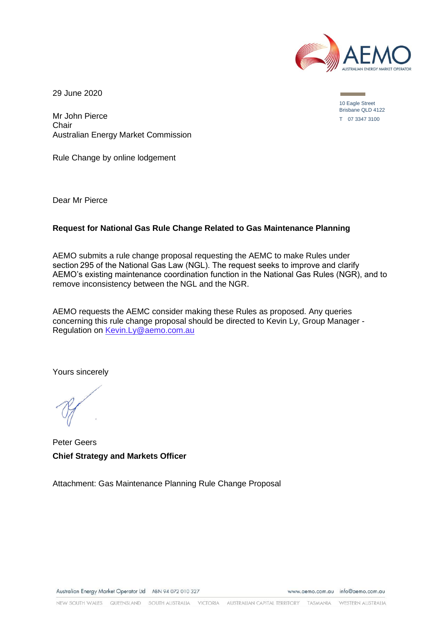

29 June 2020

Mr John Pierce **Chair** Australian Energy Market Commission

Rule Change by online lodgement

Dear Mr Pierce

#### **Request for National Gas Rule Change Related to Gas Maintenance Planning**

AEMO submits a rule change proposal requesting the AEMC to make Rules under section 295 of the National Gas Law (NGL). The request seeks to improve and clarify AEMO's existing maintenance coordination function in the National Gas Rules (NGR), and to remove inconsistency between the NGL and the NGR.

AEMO requests the AEMC consider making these Rules as proposed. Any queries concerning this rule change proposal should be directed to Kevin Ly, Group Manager - Regulation on [Kevin.Ly@aemo.com.au](mailto:Kevin.Ly@aemo.com.au)

Yours sincerely

Peter Geers **Chief Strategy and Markets Officer**

Attachment: Gas Maintenance Planning Rule Change Proposal

Australian Energy Market Operator Ltd ABN 94 072 010 327

www.aemo.com.au info@aemo.com.au

10 Eagle Street Brisbane QLD 4122 T 07 3347 3100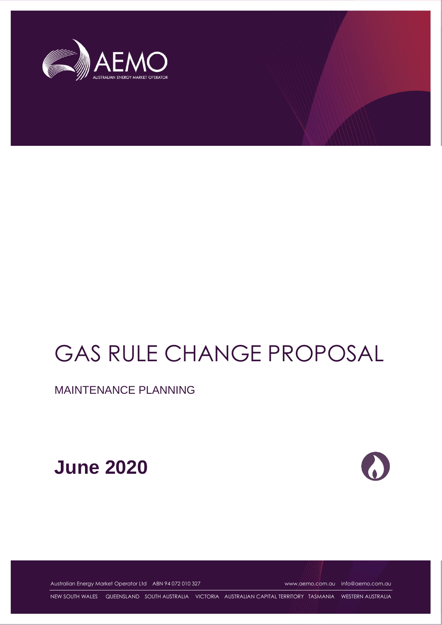

# GAS RULE CHANGE PROPOSAL

MAINTENANCE PLANNING





Australian Energy Market Operator Ltd ABN 94 072 010 327 [www.aemo.com.au](http://www.aemo.com.au/) [info@aemo.com.au](mailto:info@aemo.com.au)

NEW SOUTH WALES QUEENSLAND SOUTH AUSTRALIA VICTORIA AUSTRALIAN CAPITAL TERRITORY TASMANIA WESTERN AUSTRALIA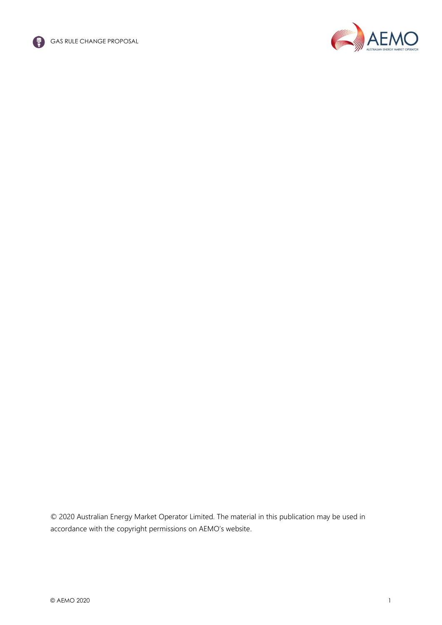



© 2020 Australian Energy Market Operator Limited. The material in this publication may be used in accordance with the [copyright permissions on AEMO's website](http://aemo.com.au/Privacy_and_Legal_Notices/Copyright_Permissions_Notice).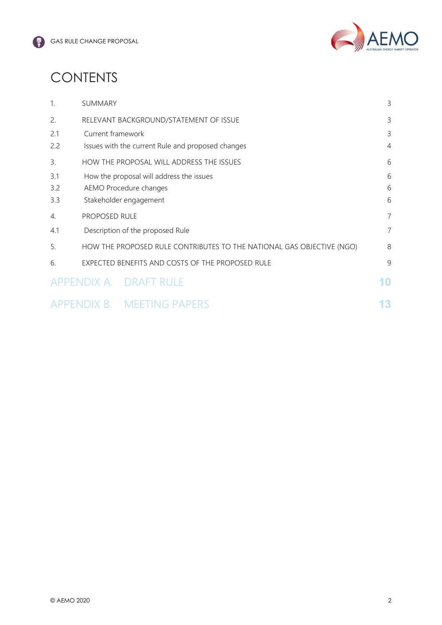

# **CONTENTS**

| $\mathbf{1}$ | SUMMARY                                                               | 3              |
|--------------|-----------------------------------------------------------------------|----------------|
| 2.           | RELEVANT BACKGROUND/STATEMENT OF ISSUE                                | 3              |
| 2.1          | Current framework                                                     | 3              |
| 2.2          | Issues with the current Rule and proposed changes                     | $\overline{4}$ |
| 3.           | HOW THE PROPOSAL WILL ADDRESS THE ISSUES                              | 6              |
| 3.1          | How the proposal will address the issues                              | 6              |
| 3.2          | AEMO Procedure changes                                                | 6              |
| 3.3          | Stakeholder engagement                                                | 6              |
| 4.           | PROPOSED RULE                                                         | 7              |
| 4.1          | Description of the proposed Rule                                      | 7              |
| 5.           | HOW THE PROPOSED RULE CONTRIBUTES TO THE NATIONAL GAS OBJECTIVE (NGO) | 8              |
| 6.           | EXPECTED BENEFITS AND COSTS OF THE PROPOSED RULE                      | 9              |
|              | APPENDIX A. DRAFT RULE                                                | 10             |
|              | APPENDIX B. MEETING PAPERS                                            | 13             |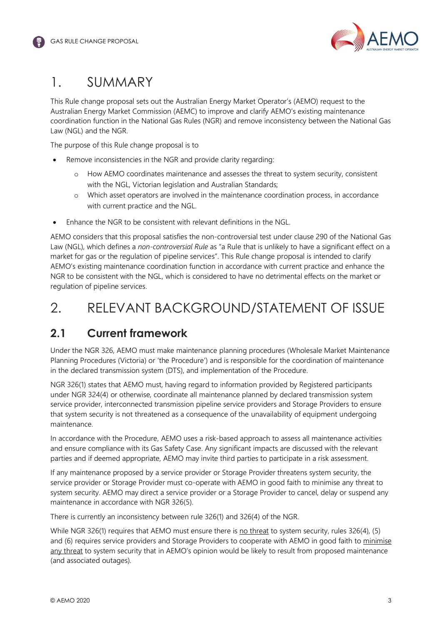

# <span id="page-4-0"></span>1. SUMMARY

This Rule change proposal sets out the Australian Energy Market Operator's (AEMO) request to the Australian Energy Market Commission (AEMC) to improve and clarify AEMO's existing maintenance coordination function in the National Gas Rules (NGR) and remove inconsistency between the National Gas Law (NGL) and the NGR.

The purpose of this Rule change proposal is to

- Remove inconsistencies in the NGR and provide clarity regarding:
	- o How AEMO coordinates maintenance and assesses the threat to system security, consistent with the NGL, Victorian legislation and Australian Standards;
	- o Which asset operators are involved in the maintenance coordination process, in accordance with current practice and the NGL.
- Enhance the NGR to be consistent with relevant definitions in the NGL.

AEMO considers that this proposal satisfies the non-controversial test under clause 290 of the National Gas Law (NGL), which defines a *non-controversial Rule* as "a Rule that is unlikely to have a significant effect on a market for gas or the regulation of pipeline services". This Rule change proposal is intended to clarify AEMO's existing maintenance coordination function in accordance with current practice and enhance the NGR to be consistent with the NGL, which is considered to have no detrimental effects on the market or regulation of pipeline services.

### <span id="page-4-1"></span>2. RELEVANT BACKGROUND/STATEMENT OF ISSUE

### <span id="page-4-2"></span>**2.1 Current framework**

Under the NGR 326, AEMO must make maintenance planning procedures (Wholesale Market Maintenance Planning Procedures (Victoria) or 'the Procedure') and is responsible for the coordination of maintenance in the declared transmission system (DTS), and implementation of the Procedure.

NGR 326(1) states that AEMO must, having regard to information provided by Registered participants under NGR 324(4) or otherwise, coordinate all maintenance planned by declared transmission system service provider, interconnected transmission pipeline service providers and Storage Providers to ensure that system security is not threatened as a consequence of the unavailability of equipment undergoing maintenance.

In accordance with the Procedure, AEMO uses a risk-based approach to assess all maintenance activities and ensure compliance with its Gas Safety Case. Any significant impacts are discussed with the relevant parties and if deemed appropriate, AEMO may invite third parties to participate in a risk assessment.

If any maintenance proposed by a service provider or Storage Provider threatens system security, the service provider or Storage Provider must co-operate with AEMO in good faith to minimise any threat to system security. AEMO may direct a service provider or a Storage Provider to cancel, delay or suspend any maintenance in accordance with NGR 326(5).

There is currently an inconsistency between rule 326(1) and 326(4) of the NGR.

While NGR 326(1) requires that AEMO must ensure there is no threat to system security, rules 326(4), (5) and (6) requires service providers and Storage Providers to cooperate with AEMO in good faith to minimise any threat to system security that in AEMO's opinion would be likely to result from proposed maintenance (and associated outages).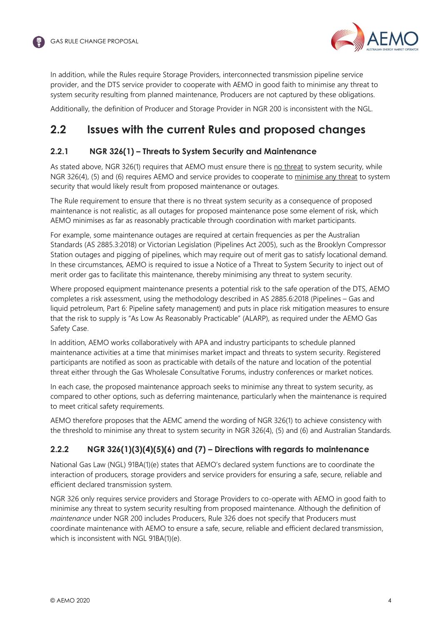

In addition, while the Rules require Storage Providers, interconnected transmission pipeline service provider, and the DTS service provider to cooperate with AEMO in good faith to minimise any threat to system security resulting from planned maintenance, Producers are not captured by these obligations.

Additionally, the definition of Producer and Storage Provider in NGR 200 is inconsistent with the NGL.

### <span id="page-5-0"></span>**2.2 Issues with the current Rules and proposed changes**

#### **2.2.1 NGR 326(1) – Threats to System Security and Maintenance**

As stated above, NGR 326(1) requires that AEMO must ensure there is no threat to system security, while NGR 326(4), (5) and (6) requires AEMO and service provides to cooperate to minimise any threat to system security that would likely result from proposed maintenance or outages.

The Rule requirement to ensure that there is no threat system security as a consequence of proposed maintenance is not realistic, as all outages for proposed maintenance pose some element of risk, which AEMO minimises as far as reasonably practicable through coordination with market participants.

For example, some maintenance outages are required at certain frequencies as per the Australian Standards (AS 2885.3:2018) or Victorian Legislation (Pipelines Act 2005), such as the Brooklyn Compressor Station outages and pigging of pipelines, which may require out of merit gas to satisfy locational demand. In these circumstances, AEMO is required to issue a Notice of a Threat to System Security to inject out of merit order gas to facilitate this maintenance, thereby minimising any threat to system security.

Where proposed equipment maintenance presents a potential risk to the safe operation of the DTS, AEMO completes a risk assessment, using the methodology described in AS 2885.6:2018 (Pipelines – Gas and liquid petroleum, Part 6: Pipeline safety management) and puts in place risk mitigation measures to ensure that the risk to supply is "As Low As Reasonably Practicable" (ALARP), as required under the AEMO Gas Safety Case.

In addition, AEMO works collaboratively with APA and industry participants to schedule planned maintenance activities at a time that minimises market impact and threats to system security. Registered participants are notified as soon as practicable with details of the nature and location of the potential threat either through the Gas Wholesale Consultative Forums, industry conferences or market notices.

In each case, the proposed maintenance approach seeks to minimise any threat to system security, as compared to other options, such as deferring maintenance, particularly when the maintenance is required to meet critical safety requirements.

AEMO therefore proposes that the AEMC amend the wording of NGR 326(1) to achieve consistency with the threshold to minimise any threat to system security in NGR 326(4), (5) and (6) and Australian Standards.

#### **2.2.2 NGR 326(1)(3)(4)(5)(6) and (7) – Directions with regards to maintenance**

National Gas Law (NGL) 91BA(1)(e) states that AEMO's declared system functions are to coordinate the interaction of producers, storage providers and service providers for ensuring a safe, secure, reliable and efficient declared transmission system.

NGR 326 only requires service providers and Storage Providers to co-operate with AEMO in good faith to minimise any threat to system security resulting from proposed maintenance. Although the definition of *maintenance* under NGR 200 includes Producers, Rule 326 does not specify that Producers must coordinate maintenance with AEMO to ensure a safe, secure, reliable and efficient declared transmission, which is inconsistent with NGL 91BA(1)(e).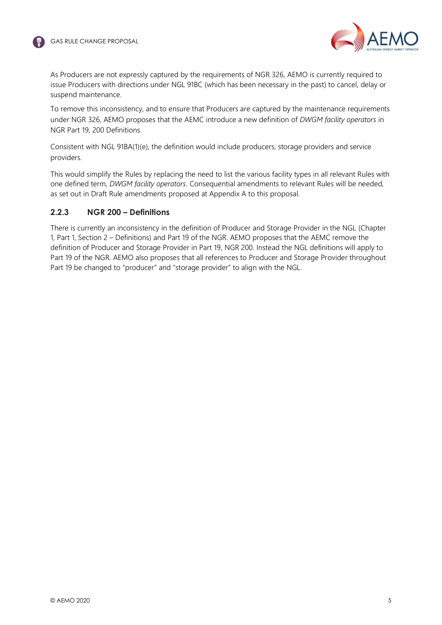



As Producers are not expressly captured by the requirements of NGR 326, AEMO is currently required to issue Producers with directions under NGL 91BC (which has been necessary in the past) to cancel, delay or suspend maintenance.

To remove this inconsistency, and to ensure that Producers are captured by the maintenance requirements under NGR 326, AEMO proposes that the AEMC introduce a new definition of *DWGM facility operators* in NGR Part 19, 200 Definitions.

Consistent with NGL 91BA(1)(e), the definition would include producers, storage providers and service providers.

This would simplify the Rules by replacing the need to list the various facility types in all relevant Rules with one defined term, *DWGM facility operators*. Consequential amendments to relevant Rules will be needed, as set out in Draft Rule amendments proposed at Appendix A to this proposal.

#### **2.2.3 NGR 200 – Definitions**

There is currently an inconsistency in the definition of Producer and Storage Provider in the NGL (Chapter 1, Part 1, Section 2 – Definitions) and Part 19 of the NGR. AEMO proposes that the AEMC remove the definition of Producer and Storage Provider in Part 19, NGR 200. Instead the NGL definitions will apply to Part 19 of the NGR. AEMO also proposes that all references to Producer and Storage Provider throughout Part 19 be changed to "producer" and "storage provider" to align with the NGL.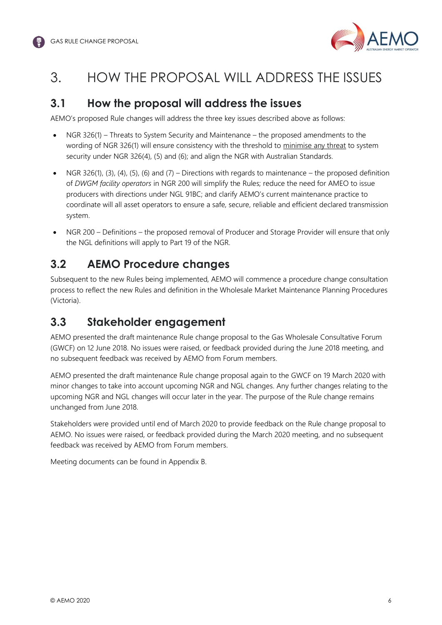

### <span id="page-7-0"></span>3. HOW THE PROPOSAL WILL ADDRESS THE ISSUES

#### <span id="page-7-1"></span>**3.1 How the proposal will address the issues**

AEMO's proposed Rule changes will address the three key issues described above as follows:

- NGR 326(1) Threats to System Security and Maintenance the proposed amendments to the wording of NGR 326(1) will ensure consistency with the threshold to minimise any threat to system security under NGR 326(4), (5) and (6); and align the NGR with Australian Standards.
- NGR 326(1), (3), (4), (5), (6) and (7) Directions with regards to maintenance the proposed definition of *DWGM facility operators* in NGR 200 will simplify the Rules; reduce the need for AMEO to issue producers with directions under NGL 91BC; and clarify AEMO's current maintenance practice to coordinate will all asset operators to ensure a safe, secure, reliable and efficient declared transmission system.
- NGR 200 Definitions the proposed removal of Producer and Storage Provider will ensure that only the NGL definitions will apply to Part 19 of the NGR.

### <span id="page-7-2"></span>**3.2 AEMO Procedure changes**

Subsequent to the new Rules being implemented, AEMO will commence a procedure change consultation process to reflect the new Rules and definition in the Wholesale Market Maintenance Planning Procedures (Victoria).

### <span id="page-7-3"></span>**3.3 Stakeholder engagement**

AEMO presented the draft maintenance Rule change proposal to the Gas Wholesale Consultative Forum (GWCF) on 12 June 2018. No issues were raised, or feedback provided during the June 2018 meeting, and no subsequent feedback was received by AEMO from Forum members.

AEMO presented the draft maintenance Rule change proposal again to the GWCF on 19 March 2020 with minor changes to take into account upcoming NGR and NGL changes. Any further changes relating to the upcoming NGR and NGL changes will occur later in the year. The purpose of the Rule change remains unchanged from June 2018.

Stakeholders were provided until end of March 2020 to provide feedback on the Rule change proposal to AEMO. No issues were raised, or feedback provided during the March 2020 meeting, and no subsequent feedback was received by AEMO from Forum members.

Meeting documents can be found in Appendix B.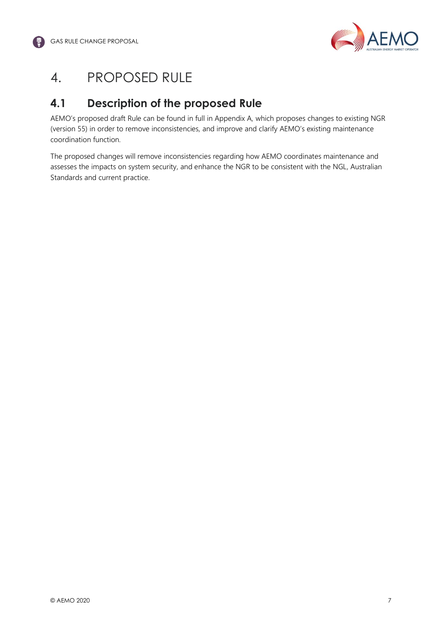

### <span id="page-8-0"></span>4. PROPOSED RULE

### <span id="page-8-1"></span>**4.1 Description of the proposed Rule**

AEMO's proposed draft Rule can be found in full in Appendix A, which proposes changes to existing NGR (version 55) in order to remove inconsistencies, and improve and clarify AEMO's existing maintenance coordination function.

The proposed changes will remove inconsistencies regarding how AEMO coordinates maintenance and assesses the impacts on system security, and enhance the NGR to be consistent with the NGL, Australian Standards and current practice.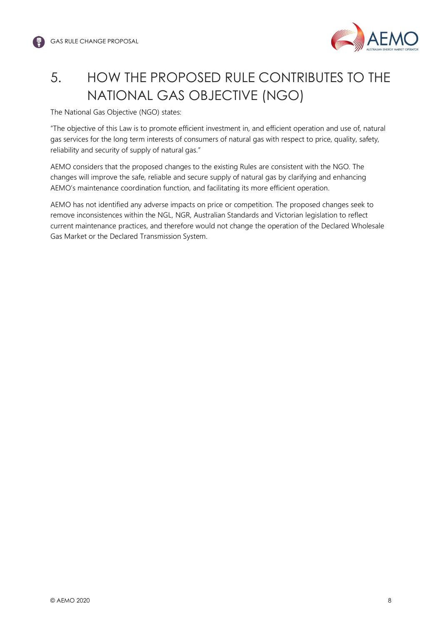

# <span id="page-9-0"></span>5. HOW THE PROPOSED RULE CONTRIBUTES TO THE NATIONAL GAS OBJECTIVE (NGO)

The National Gas Objective (NGO) states:

"The objective of this Law is to promote efficient investment in, and efficient operation and use of, natural gas services for the long term interests of consumers of natural gas with respect to price, quality, safety, reliability and security of supply of natural gas."

AEMO considers that the proposed changes to the existing Rules are consistent with the NGO. The changes will improve the safe, reliable and secure supply of natural gas by clarifying and enhancing AEMO's maintenance coordination function, and facilitating its more efficient operation.

AEMO has not identified any adverse impacts on price or competition. The proposed changes seek to remove inconsistences within the NGL, NGR, Australian Standards and Victorian legislation to reflect current maintenance practices, and therefore would not change the operation of the Declared Wholesale Gas Market or the Declared Transmission System.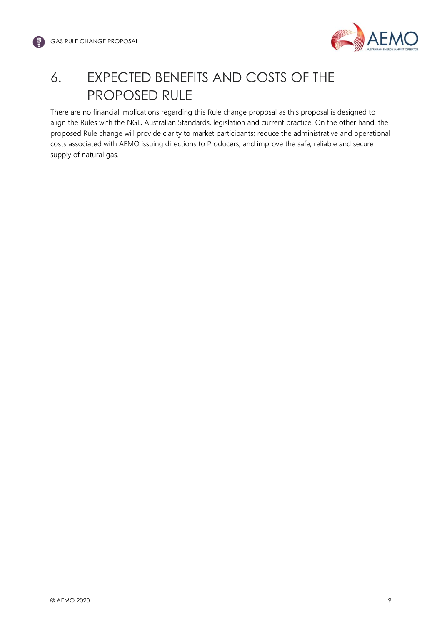

# <span id="page-10-0"></span>6. EXPECTED BENEFITS AND COSTS OF THE PROPOSED RULE

There are no financial implications regarding this Rule change proposal as this proposal is designed to align the Rules with the NGL, Australian Standards, legislation and current practice. On the other hand, the proposed Rule change will provide clarity to market participants; reduce the administrative and operational costs associated with AEMO issuing directions to Producers; and improve the safe, reliable and secure supply of natural gas.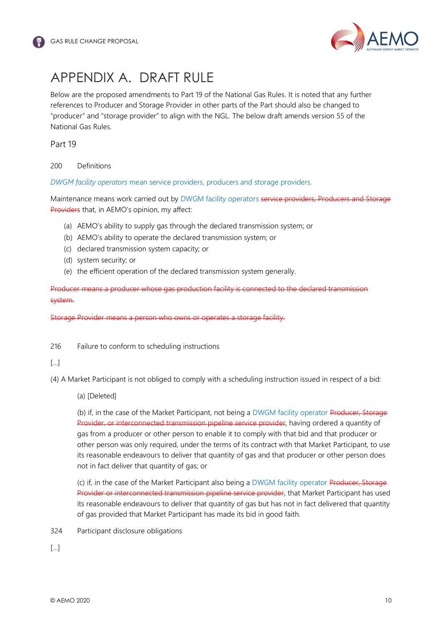

### <span id="page-11-0"></span>APPENDIX A. DRAFT RULE

Below are the proposed amendments to Part 19 of the National Gas Rules. It is noted that any further references to Producer and Storage Provider in other parts of the Part should also be changed to "producer" and "storage provider" to align with the NGL. The below draft amends version 55 of the National Gas Rules.

Part 19

200 Definitions

*DWGM facility operators* mean service providers, producers and storage providers.

Maintenance means work carried out by DWGM facility operators service providers, Producers and Storage Providers that, in AEMO's opinion, my affect:

- (a) AEMO's ability to supply gas through the declared transmission system; or
- (b) AEMO's ability to operate the declared transmission system; or
- (c) declared transmission system capacity; or
- (d) system security; or
- (e) the efficient operation of the declared transmission system generally.

Producer means a producer whose gas production facility is connected to the declared transmission system.

Storage Provider means a person who owns or operates a storage facility.

216 Failure to conform to scheduling instructions

#### $[$   $]$

(4) A Market Participant is not obliged to comply with a scheduling instruction issued in respect of a bid:

(a) [Deleted]

(b) if, in the case of the Market Participant, not being a DWGM facility operator Producer, Storage Provider, or interconnected transmission pipeline service provider, having ordered a quantity of gas from a producer or other person to enable it to comply with that bid and that producer or other person was only required, under the terms of its contract with that Market Participant, to use its reasonable endeavours to deliver that quantity of gas and that producer or other person does not in fact deliver that quantity of gas; or

(c) if, in the case of the Market Participant also being a DWGM facility operator Producer, Storage Provider or interconnected transmission pipeline service provider, that Market Participant has used its reasonable endeavours to deliver that quantity of gas but has not in fact delivered that quantity of gas provided that Market Participant has made its bid in good faith.

324 Participant disclosure obligations

[…]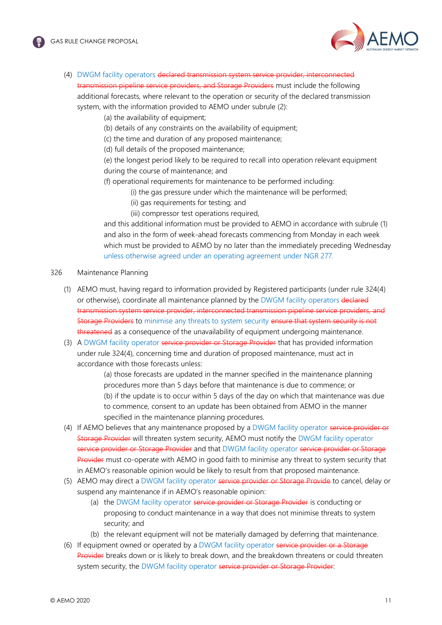

(4) DWGM facility operators declared transmission system service provider, interconnected transmission pipeline service providers, and Storage Providers must include the following additional forecasts, where relevant to the operation or security of the declared transmission

system, with the information provided to AEMO under subrule (2):

- (a) the availability of equipment;
- (b) details of any constraints on the availability of equipment;
- (c) the time and duration of any proposed maintenance;
- (d) full details of the proposed maintenance;

(e) the longest period likely to be required to recall into operation relevant equipment during the course of maintenance; and

(f) operational requirements for maintenance to be performed including:

- (i) the gas pressure under which the maintenance will be performed;
	- (ii) gas requirements for testing; and

(iii) compressor test operations required,

and this additional information must be provided to AEMO in accordance with subrule (1) and also in the form of week-ahead forecasts commencing from Monday in each week which must be provided to AEMO by no later than the immediately preceding Wednesday unless otherwise agreed under an operating agreement under NGR 277*.*

- 326 Maintenance Planning
	- (1) AEMO must, having regard to information provided by Registered participants (under rule 324(4) or otherwise), coordinate all maintenance planned by the DWGM facility operators declared transmission system service provider, interconnected transmission pipeline service providers, and Storage Providers to minimise any threats to system security ensure that system security is not threatened as a consequence of the unavailability of equipment undergoing maintenance.
	- (3) A DWGM facility operator service provider or Storage Provider that has provided information under rule 324(4), concerning time and duration of proposed maintenance, must act in accordance with those forecasts unless:

(a) those forecasts are updated in the manner specified in the maintenance planning procedures more than 5 days before that maintenance is due to commence; or (b) if the update is to occur within 5 days of the day on which that maintenance was due to commence, consent to an update has been obtained from AEMO in the manner specified in the maintenance planning procedures.

- (4) If AEMO believes that any maintenance proposed by a DWGM facility operator service provider or Storage Provider will threaten system security, AEMO must notify the DWGM facility operator service provider or Storage Provider and that DWGM facility operator service provider or Storage Provider must co-operate with AEMO in good faith to minimise any threat to system security that in AEMO's reasonable opinion would be likely to result from that proposed maintenance.
- (5) AEMO may direct a DWGM facility operator service provider or Storage Provide to cancel, delay or suspend any maintenance if in AEMO's reasonable opinion:
	- (a) the DWGM facility operator service provider or Storage Provider is conducting or proposing to conduct maintenance in a way that does not minimise threats to system security; and
	- (b) the relevant equipment will not be materially damaged by deferring that maintenance.
- (6) If equipment owned or operated by a DWGM facility operator service provider or a Storage Provider breaks down or is likely to break down, and the breakdown threatens or could threaten system security, the DWGM facility operator service provider or Storage Provider: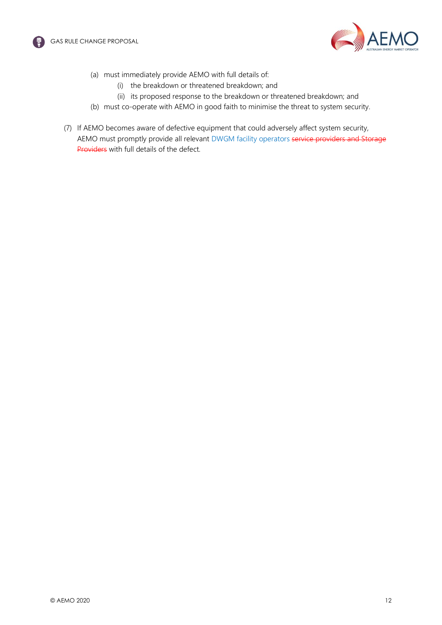



- (a) must immediately provide AEMO with full details of:
	- (i) the breakdown or threatened breakdown; and
	- (ii) its proposed response to the breakdown or threatened breakdown; and
- (b) must co-operate with AEMO in good faith to minimise the threat to system security.
- (7) If AEMO becomes aware of defective equipment that could adversely affect system security, AEMO must promptly provide all relevant DWGM facility operators service providers and Storage Providers with full details of the defect.